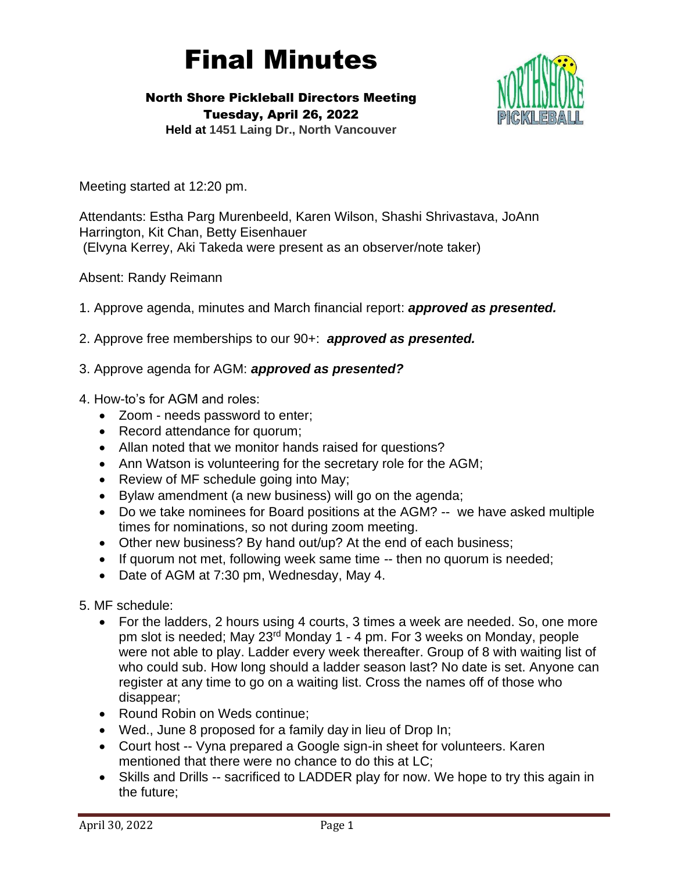## Final Minutes

North Shore Pickleball Directors Meeting Tuesday, April 26, 2022 **Held at 1451 Laing Dr., North Vancouver**



Meeting started at 12:20 pm.

Attendants: Estha Parg Murenbeeld, Karen Wilson, Shashi Shrivastava, JoAnn Harrington, Kit Chan, Betty Eisenhauer (Elvyna Kerrey, Aki Takeda were present as an observer/note taker)

Absent: Randy Reimann

1. Approve agenda, minutes and March financial report: *approved as presented.*

## 2. Approve free memberships to our 90+: *approved as presented.*

- 3. Approve agenda for AGM: *approved as presented?*
- 4. How-to's for AGM and roles:
	- Zoom needs password to enter;
	- Record attendance for quorum;
	- Allan noted that we monitor hands raised for questions?
	- Ann Watson is volunteering for the secretary role for the AGM;
	- Review of MF schedule going into May;
	- Bylaw amendment (a new business) will go on the agenda;
	- Do we take nominees for Board positions at the AGM? -- we have asked multiple times for nominations, so not during zoom meeting.
	- Other new business? By hand out/up? At the end of each business;
	- If quorum not met, following week same time -- then no quorum is needed;
	- Date of AGM at 7:30 pm, Wednesday, May 4.

5. MF schedule:

- For the ladders, 2 hours using 4 courts, 3 times a week are needed. So, one more pm slot is needed; May 23<sup>rd</sup> Monday 1 - 4 pm. For 3 weeks on Monday, people were not able to play. Ladder every week thereafter. Group of 8 with waiting list of who could sub. How long should a ladder season last? No date is set. Anyone can register at any time to go on a waiting list. Cross the names off of those who disappear;
- Round Robin on Weds continue;
- Wed., June 8 proposed for a family day in lieu of Drop In;
- Court host -- Vyna prepared a Google sign-in sheet for volunteers. Karen mentioned that there were no chance to do this at LC;
- Skills and Drills -- sacrificed to LADDER play for now. We hope to try this again in the future;